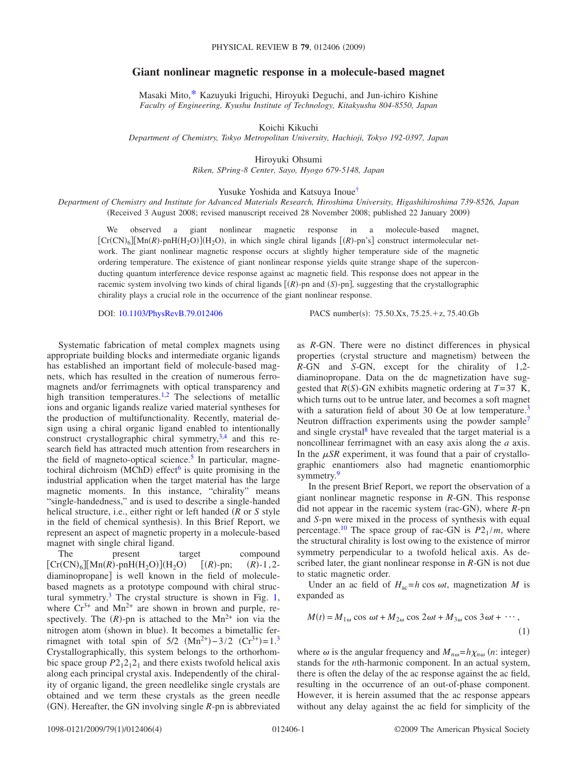## **Giant nonlinear magnetic response in a molecule-based magnet**

Masaki Mito[,\\*](#page-3-0) Kazuyuki Iriguchi, Hiroyuki Deguchi, and Jun-ichiro Kishine *Faculty of Engineering, Kyushu Institute of Technology, Kitakyushu 804-8550, Japan*

Koichi Kikuchi

*Department of Chemistry, Tokyo Metropolitan University, Hachioji, Tokyo 192-0397, Japan*

Hiroyuki Ohsumi *Riken, SPring-8 Center, Sayo, Hyogo 679-5148, Japan*

Yusuke Yoshida and Katsuya Inou[e†](#page-3-1)

*Department of Chemistry and Institute for Advanced Materials Research, Hiroshima University, Higashihiroshima 739-8526, Japan* Received 3 August 2008; revised manuscript received 28 November 2008; published 22 January 2009-

We observed a giant nonlinear magnetic response in a molecule-based magnet,  $[Cr(CN)_6][Mn(R)-pnH(H_2O)](H_2O)$ , in which single chiral ligands  $[(R)-pn's]$  construct intermolecular network. The giant nonlinear magnetic response occurs at slightly higher temperature side of the magnetic ordering temperature. The existence of giant nonlinear response yields quite strange shape of the superconducting quantum interference device response against ac magnetic field. This response does not appear in the racemic system involving two kinds of chiral ligands  $[(R)$ -pn and  $(S)$ -pn], suggesting that the crystallographic chirality plays a crucial role in the occurrence of the giant nonlinear response.

DOI: [10.1103/PhysRevB.79.012406](http://dx.doi.org/10.1103/PhysRevB.79.012406)

PACS number(s):  $75.50.Xx$ ,  $75.25.+z$ ,  $75.40.Gb$ 

Systematic fabrication of metal complex magnets using appropriate building blocks and intermediate organic ligands has established an important field of molecule-based magnets, which has resulted in the creation of numerous ferromagnets and/or ferrimagnets with optical transparency and high transition temperatures.<sup>1[,2](#page-3-3)</sup> The selections of metallic ions and organic ligands realize varied material syntheses for the production of multifunctionality. Recently, material design using a chiral organic ligand enabled to intentionally construct crystallographic chiral symmetry,<sup>3,[4](#page-3-5)</sup> and this research field has attracted much attention from researchers in the field of magneto-optical science.<sup>5</sup> In particular, magnetochiral dichroism (MChD) effect<sup>6</sup> is quite promising in the industrial application when the target material has the large magnetic moments. In this instance, "chirality" means "single-handedness," and is used to describe a single-handed helical structure, i.e., either right or left handed *R* or *S* style in the field of chemical synthesis). In this Brief Report, we represent an aspect of magnetic property in a molecule-based magnet with single chiral ligand.

The present target compound  $[Cr(CN)_6][Mn(R)$ -pnH $(H_2O)](H_2O)$  $[(R)$ -pn;  $(R)$  $(R)$ -1,2diaminopropane is well known in the field of moleculebased magnets as a prototype compound with chiral structural symmetry[.3](#page-3-4) The crystal structure is shown in Fig. [1,](#page-1-0) where  $Cr^{3+}$  and  $Mn^{2+}$  are shown in brown and purple, respectively. The  $(R)$ -pn is attached to the Mn<sup>2+</sup> ion via the nitrogen atom (shown in blue). It becomes a bimetallic ferrimagnet with total spin of  $5/2$   $(Mn^{2+})-3/2$  $(Mn^{2+})-3/2$  $(Mn^{2+})-3/2$   $(Cr^{3+})=1.^3$ Crystallographically, this system belongs to the orthorhombic space group  $P2_12_12_1$  and there exists twofold helical axis along each principal crystal axis. Independently of the chirality of organic ligand, the green needlelike single crystals are obtained and we term these crystals as the green needle (GN). Hereafter, the GN involving single *R*-pn is abbreviated

as *R*-GN. There were no distinct differences in physical properties (crystal structure and magnetism) between the *R*-GN and *S*-GN, except for the chirality of 1,2 diaminopropane. Data on the dc magnetization have suggested that  $R(S)$ -GN exhibits magnetic ordering at  $T=37$  K, which turns out to be untrue later, and becomes a soft magnet with a saturation field of about 30 Oe at low temperature.<sup>3</sup> Neutron diffraction experiments using the powder sample<sup>7</sup> and single crystal $8$  have revealed that the target material is a noncollinear ferrimagnet with an easy axis along the *a* axis. In the  $\mu SR$  experiment, it was found that a pair of crystallographic enantiomers also had magnetic enantiomorphic symmetry.<sup>9</sup>

In the present Brief Report, we report the observation of a giant nonlinear magnetic response in *R*-GN. This response did not appear in the racemic system (rac-GN), where *R*-pn and *S*-pn were mixed in the process of synthesis with equal percentage.<sup>10</sup> The space group of rac-GN is  $P2_1/m$ , where the structural chirality is lost owing to the existence of mirror symmetry perpendicular to a twofold helical axis. As described later, the giant nonlinear response in *R*-GN is not due to static magnetic order.

Under an ac field of  $H_{ac} = h \cos \omega t$ , magnetization *M* is expanded as

$$
M(t) = M_{1\omega} \cos \omega t + M_{2\omega} \cos 2\omega t + M_{3\omega} \cos 3\omega t + \cdots,
$$
\n(1)

where  $\omega$  is the angular frequency and  $M_{n\omega} = h \chi_{n\omega}$  (*n*: integer) stands for the *n*th-harmonic component. In an actual system, there is often the delay of the ac response against the ac field, resulting in the occurrence of an out-of-phase component. However, it is herein assumed that the ac response appears without any delay against the ac field for simplicity of the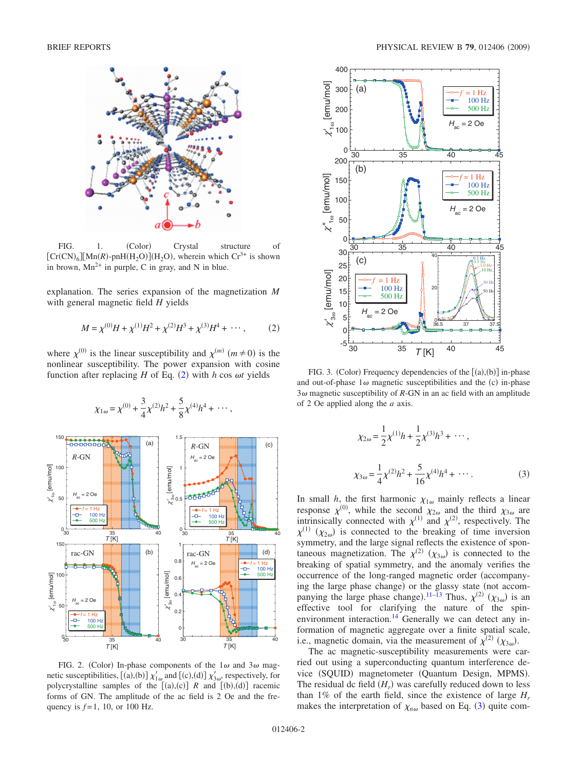<span id="page-1-0"></span>

FIG. 1. (Color) Crystal structure of  $[Cr(CN)_6][Mn(R)-pnH(H_2O)](H_2O)$ , wherein which  $Cr^{3+}$  is shown in brown,  $Mn^{2+}$  in purple, C in gray, and N in blue.

explanation. The series expansion of the magnetization *M* with general magnetic field *H* yields

$$
M = \chi^{(0)}H + \chi^{(1)}H^2 + \chi^{(2)}H^3 + \chi^{(3)}H^4 + \cdots, \qquad (2)
$$

<span id="page-1-1"></span>where  $\chi^{(0)}$  is the linear susceptibility and  $\chi^{(m)}$  ( $m \neq 0$ ) is the nonlinear susceptibility. The power expansion with cosine function after replacing  $H$  of Eq. ([2](#page-1-1)) with  $h$  cos  $\omega t$  yields

<span id="page-1-3"></span><span id="page-1-2"></span>

FIG. 2. (Color) In-phase components of the  $1\omega$  and  $3\omega$  magnetic susceptibilities, [(a),(b)]  $\chi'_{1\omega}$  and [(c),(d)]  $\chi'_{3\omega}$ , respectively, for polycrystalline samples of the  $[(a),(c)]$  R and  $[(b),(d)]$  racemic forms of GN. The amplitude of the ac field is 2 Oe and the frequency is  $f=1$ , 10, or 100 Hz.

<span id="page-1-4"></span>

FIG. 3. (Color) Frequency dependencies of the  $[(a),(b)]$  in-phase and out-of-phase  $1\omega$  magnetic susceptibilities and the (c) in-phase  $3\omega$  magnetic susceptibility of *R*-GN in an ac field with an amplitude of 2 Oe applied along the *a* axis.

$$
\chi_{2\omega} = \frac{1}{2} \chi^{(1)} h + \frac{1}{2} \chi^{(3)} h^3 + \cdots,
$$
  

$$
\chi_{3\omega} = \frac{1}{4} \chi^{(2)} h^2 + \frac{5}{16} \chi^{(4)} h^4 + \cdots.
$$
 (3)

In small *h*, the first harmonic  $\chi_{1\omega}$  mainly reflects a linear response  $\chi^{(0)}$ , while the second  $\chi_{2\omega}$  and the third  $\chi_{3\omega}$  are intrinsically connected with  $\chi^{(1)}$  and  $\chi^{(2)}$ , respectively. The  $\chi^{(1)}$  ( $\chi_{2\omega}$ ) is connected to the breaking of time inversion symmetry, and the large signal reflects the existence of spontaneous magnetization. The  $\chi^{(2)}$   $(\chi_{3\omega})$  is connected to the breaking of spatial symmetry, and the anomaly verifies the occurrence of the long-ranged magnetic order (accompanying the large phase change) or the glassy state (not accom-panying the large phase change).<sup>[11](#page-3-12)[–13](#page-3-13)</sup> Thus,  $\chi^{(2)}$  ( $\chi_{3\omega}$ ) is an effective tool for clarifying the nature of the spinenvironment interaction.<sup>14</sup> Generally we can detect any information of magnetic aggregate over a finite spatial scale, i.e., magnetic domain, via the measurement of  $\chi^{(2)}$  ( $\chi_{3\omega}$ ).

The ac magnetic-susceptibility measurements were carried out using a superconducting quantum interference device (SQUID) magnetometer (Quantum Design, MPMS). The residual dc field  $(H_r)$  was carefully reduced down to less than 1% of the earth field, since the existence of large  $H_r$ makes the interpretation of  $\chi_{n\omega}$  based on Eq. ([3](#page-1-2)) quite com-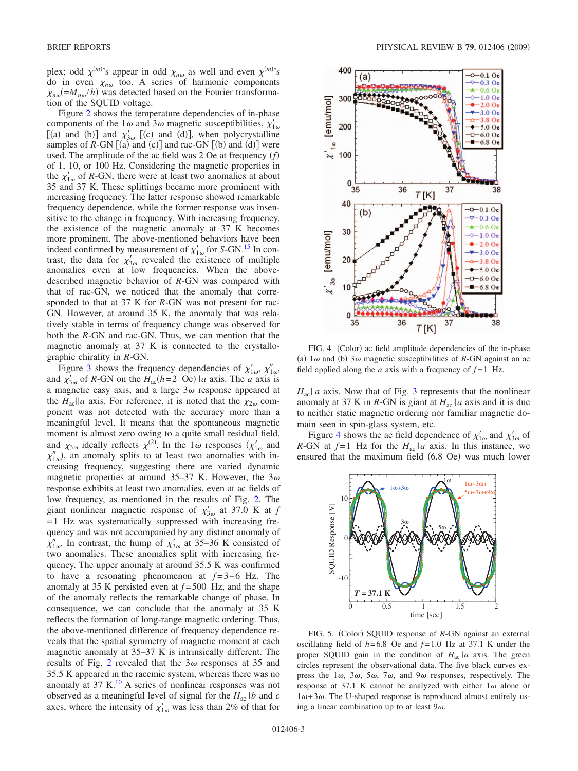plex; odd  $\chi^{(m)}$ 's appear in odd  $\chi_{n\omega}$  as well and even  $\chi^{(m)}$ 's do in even  $\chi_{n\omega}$  too. A series of harmonic components  $\chi_{n\omega}$ (= $M_{n\omega}/h$ ) was detected based on the Fourier transformation of the SQUID voltage.

Figure [2](#page-1-3) shows the temperature dependencies of in-phase components of the 1 $\omega$  and 3 $\omega$  magnetic susceptibilities,  $\chi'_{1\omega}$ [(a) and (b)] and  $\chi'_{3\omega}$  [(c) and (d)], when polycrystalline samples of  $R$ -GN  $[(a)$  and  $(c)]$  and rac-GN  $[(b)$  and  $(d)]$  were used. The amplitude of the ac field was 2 Oe at frequency *f* of 1, 10, or 100 Hz. Considering the magnetic properties in the  $\chi'_{1\omega}$  of *R*-GN, there were at least two anomalies at about 35 and 37 K. These splittings became more prominent with increasing frequency. The latter response showed remarkable frequency dependence, while the former response was insensitive to the change in frequency. With increasing frequency, the existence of the magnetic anomaly at 37 K becomes more prominent. The above-mentioned behaviors have been indeed confirmed by measurement of  $\chi'_{1\omega}$  for *S*-GN.<sup>15</sup> In contrast, the data for  $\chi'_{3\omega}$  revealed the existence of multiple anomalies even at low frequencies. When the abovedescribed magnetic behavior of *R*-GN was compared with that of rac-GN, we noticed that the anomaly that corresponded to that at 37 K for *R*-GN was not present for rac-GN. However, at around 35 K, the anomaly that was relatively stable in terms of frequency change was observed for both the *R*-GN and rac-GN. Thus, we can mention that the magnetic anomaly at 37 K is connected to the crystallographic chirality in *R*-GN.

Figure [3](#page-1-4) shows the frequency dependencies of  $\chi'_{1\omega}$ ,  $\chi''_{1\omega}$ , and  $\chi'_{3\omega}$  of *R*-GN on the  $H_{ac}(h=2 \text{ Oe})||a \text{ axis.}$  The *a* axis is a magnetic easy axis, and a large  $3\omega$  response appeared at the  $H_{ac}||a$  axis. For reference, it is noted that the  $\chi_{2\omega}$  component was not detected with the accuracy more than a meaningful level. It means that the spontaneous magnetic moment is almost zero owing to a quite small residual field, and  $\chi_{3\omega}$  ideally reflects  $\chi^{(2)}$ . In the 1 $\omega$  responses  $(\chi'_{1\omega}$  and  $\chi''_{1\omega}$ ), an anomaly splits to at least two anomalies with increasing frequency, suggesting there are varied dynamic magnetic properties at around 35-37 K. However, the  $3\omega$ response exhibits at least two anomalies, even at ac fields of low frequency, as mentioned in the results of Fig. [2.](#page-1-3) The giant nonlinear magnetic response of  $\chi'_{3\omega}$  at 37.0 K at *f* =1 Hz was systematically suppressed with increasing frequency and was not accompanied by any distinct anomaly of  $\chi'_{1\omega}$ . In contrast, the hump of  $\chi'_{3\omega}$  at 35–36 K consisted of two anomalies. These anomalies split with increasing frequency. The upper anomaly at around 35.5 K was confirmed to have a resonating phenomenon at  $f=3-6$  Hz. The anomaly at 35 K persisted even at  $f = 500$  Hz, and the shape of the anomaly reflects the remarkable change of phase. In consequence, we can conclude that the anomaly at 35 K reflects the formation of long-range magnetic ordering. Thus, the above-mentioned difference of frequency dependence reveals that the spatial symmetry of magnetic moment at each magnetic anomaly at 35–37 K is intrinsically different. The results of Fig. [2](#page-1-3) revealed that the  $3\omega$  responses at 35 and 35.5 K appeared in the racemic system, whereas there was no anomaly at  $37 \text{ K}$ .<sup>10</sup> A series of nonlinear responses was not observed as a meaningful level of signal for the  $H_{ac}$  *b* and *c* axes, where the intensity of  $\chi'_{1\omega}$  was less than 2% of that for

<span id="page-2-0"></span>

FIG. 4. (Color) ac field amplitude dependencies of the in-phase (a)  $1\omega$  and (b)  $3\omega$  magnetic susceptibilities of *R*-GN against an ac field applied along the *a* axis with a frequency of  $f=1$  Hz.

 $H_{ac}$  *a* axis. Now that of Fig. [3](#page-1-4) represents that the nonlinear anomaly at 37 K in *R*-GN is giant at  $H_{ac}||a$  axis and it is due to neither static magnetic ordering nor familiar magnetic domain seen in spin-glass system, etc.

Figure [4](#page-2-0) shows the ac field dependence of  $\chi'_{1\omega}$  and  $\chi'_{3\omega}$  of *R*-GN at  $f=1$  Hz for the  $H_{ac}||a$  axis. In this instance, we ensured that the maximum field (6.8 Oe) was much lower

<span id="page-2-1"></span>

FIG. 5. (Color) SQUID response of *R*-GN against an external oscillating field of  $h=6.8$  Oe and  $f=1.0$  Hz at 37.1 K under the proper SQUID gain in the condition of  $H_{ac}||a$  axis. The green circles represent the observational data. The five black curves express the  $1\omega$ ,  $3\omega$ ,  $5\omega$ ,  $7\omega$ , and  $9\omega$  responses, respectively. The response at 37.1 K cannot be analyzed with either  $1\omega$  alone or  $1\omega+3\omega$ . The U-shaped response is reproduced almost entirely using a linear combination up to at least  $9\omega$ .